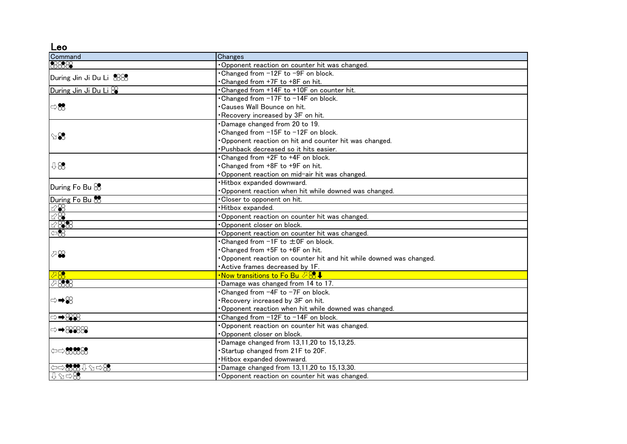Leo

| Command                                                                                                                                            | Changes                                                            |
|----------------------------------------------------------------------------------------------------------------------------------------------------|--------------------------------------------------------------------|
| 8888                                                                                                                                               | Opponent reaction on counter hit was changed.                      |
| During Jin Ji Du Li 888                                                                                                                            | . Changed from -12F to -9F on block.                               |
|                                                                                                                                                    | Changed from +7F to +8F on hit.                                    |
| During Jin Ji Du Li                                                                                                                                | . Changed from +14F to +10F on counter hit.                        |
| $\Rightarrow \infty$                                                                                                                               | . Changed from -17F to -14F on block.                              |
|                                                                                                                                                    | Causes Wall Bounce on hit.                                         |
|                                                                                                                                                    | Recovery increased by 3F on hit.                                   |
| $\mathbb{S}$                                                                                                                                       | Damage changed from 20 to 19.                                      |
|                                                                                                                                                    | Changed from -15F to -12F on block.                                |
|                                                                                                                                                    | Opponent reaction on hit and counter hit was changed.              |
|                                                                                                                                                    | Pushback decreased so it hits easier.                              |
|                                                                                                                                                    | Changed from +2F to +4F on block.                                  |
| 98                                                                                                                                                 | Changed from +8F to +9F on hit.                                    |
|                                                                                                                                                    | Opponent reaction on mid-air hit was changed.                      |
| During Fo Bu $\otimes$                                                                                                                             | ·Hitbox expanded downward.                                         |
|                                                                                                                                                    | Opponent reaction when hit while downed was changed.               |
| During Fo Bu                                                                                                                                       | . Closer to opponent on hit.                                       |
| 1288                                                                                                                                               | ·Hitbox expanded.                                                  |
| $\otimes\mathscr{E}$                                                                                                                               | Opponent reaction on counter hit was changed.                      |
| 12888                                                                                                                                              | Opponent closer on block.                                          |
| $\Leftrightarrow$                                                                                                                                  | Opponent reaction on counter hit was changed.                      |
|                                                                                                                                                    | • Changed from -1F to $\pm$ 0F on block.                           |
| ⊘⊗                                                                                                                                                 | Changed from +5F to +6F on hit.                                    |
|                                                                                                                                                    | Opponent reaction on counter hit and hit while downed was changed. |
|                                                                                                                                                    | Active frames decreased by 1F.                                     |
| 78                                                                                                                                                 | •Now transitions to Fo Bu ⊘⊗!                                      |
| $\nabla888$                                                                                                                                        | Damage was changed from 14 to 17.                                  |
|                                                                                                                                                    | . Changed from -4F to -7F on block.                                |
|                                                                                                                                                    | Recovery increased by 3F on hit.                                   |
|                                                                                                                                                    | Opponent reaction when hit while downed was changed.               |
| ⇒➡⊗⊗                                                                                                                                               | . Changed from -12F to -14F on block.                              |
| ⇒➡⊗⊗⊗                                                                                                                                              | Opponent reaction on counter hit was changed.                      |
|                                                                                                                                                    | Opponent closer on block.                                          |
| $\Leftrightarrow$ 3838                                                                                                                             | Damage changed from 13,11,20 to 15,13,25.                          |
|                                                                                                                                                    | Startup changed from 21F to 20F.                                   |
|                                                                                                                                                    | Hitbox expanded downward.                                          |
| $\left\langle 1\right\rangle _{1}^{2}\left\langle 2\right\rangle _{2}^{2}\left\langle 1\right\rangle _{1}^{2}\left\langle 2\right\rangle _{2}^{2}$ | Damage changed from 13,11,20 to 15,13,30.                          |
| 0.7008                                                                                                                                             | Opponent reaction on counter hit was changed.                      |